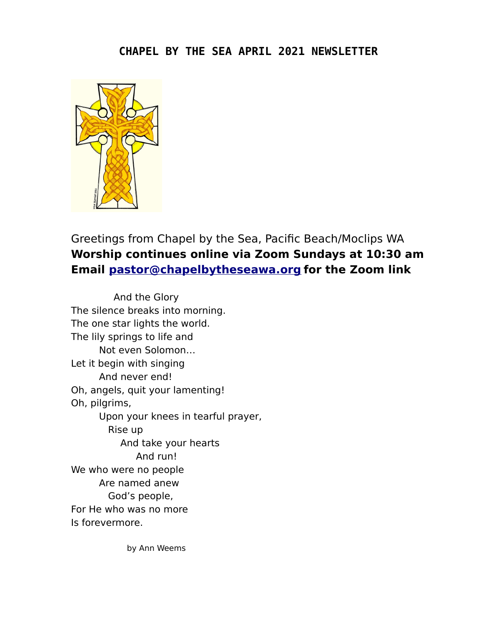## **CHAPEL BY THE SEA APRIL 2021 NEWSLETTER**



Greetings from Chapel by the Sea, Pacific Beach/Moclips WA **Worship continues online via Zoom Sundays at 10:30 am Email [pastor@chapelbytheseawa.org](mailto:pastor@chapelbytheseawa.org) for the Zoom link**

 And the Glory The silence breaks into morning. The one star lights the world. The lily springs to life and Not even Solomon… Let it begin with singing And never end! Oh, angels, quit your lamenting! Oh, pilgrims, Upon your knees in tearful prayer, Rise up And take your hearts And run! We who were no people Are named anew God's people, For He who was no more Is forevermore.

by Ann Weems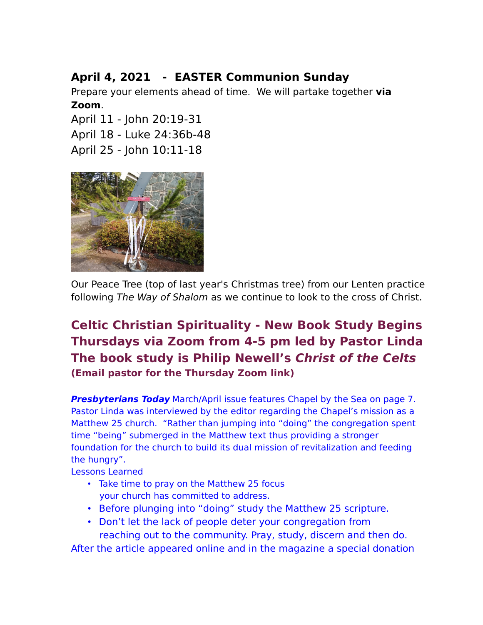## **April 4, 2021 - EASTER Communion Sunday**

Prepare your elements ahead of time. We will partake together **via Zoom**.

April 11 - John 20:19-31 April 18 - Luke 24:36b-48 April 25 - John 10:11-18



Our Peace Tree (top of last year's Christmas tree) from our Lenten practice following The Way of Shalom as we continue to look to the cross of Christ.

# **Celtic Christian Spirituality - New Book Study Begins Thursdays via Zoom from 4-5 pm led by Pastor Linda The book study is Philip Newell's Christ of the Celts (Email pastor for the Thursday Zoom link)**

**Presbyterians Today** March/April issue features Chapel by the Sea on page 7. Pastor Linda was interviewed by the editor regarding the Chapel's mission as a Matthew 25 church. "Rather than jumping into "doing" the congregation spent time "being" submerged in the Matthew text thus providing a stronger foundation for the church to build its dual mission of revitalization and feeding the hungry".

Lessons Learned

- Take time to pray on the Matthew 25 focus your church has committed to address.
- Before plunging into "doing" study the Matthew 25 scripture.
- Don't let the lack of people deter your congregation from reaching out to the community. Pray, study, discern and then do.

After the article appeared online and in the magazine a special donation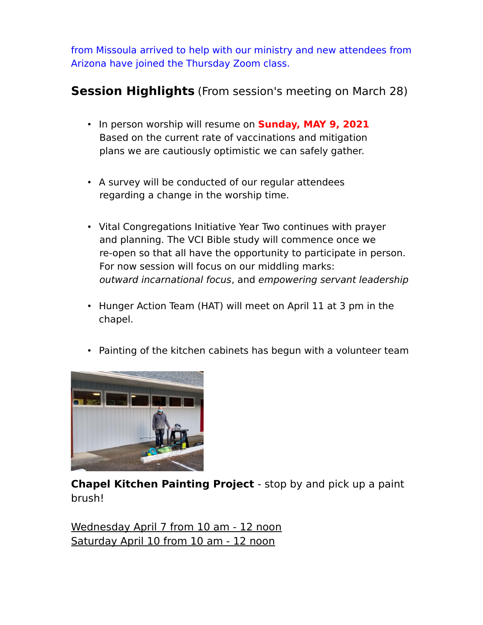from Missoula arrived to help with our ministry and new attendees from Arizona have joined the Thursday Zoom class.

**Session Highlights** (From session's meeting on March 28)

- In person worship will resume on **Sunday, MAY 9, 2021** Based on the current rate of vaccinations and mitigation plans we are cautiously optimistic we can safely gather.
- A survey will be conducted of our regular attendees regarding a change in the worship time.
- Vital Congregations Initiative Year Two continues with prayer and planning. The VCI Bible study will commence once we re-open so that all have the opportunity to participate in person. For now session will focus on our middling marks: outward incarnational focus, and empowering servant leadership
- Hunger Action Team (HAT) will meet on April 11 at 3 pm in the chapel.
- Painting of the kitchen cabinets has begun with a volunteer team



**Chapel Kitchen Painting Project** - stop by and pick up a paint brush!

Wednesday April 7 from 10 am - 12 noon Saturday April 10 from 10 am - 12 noon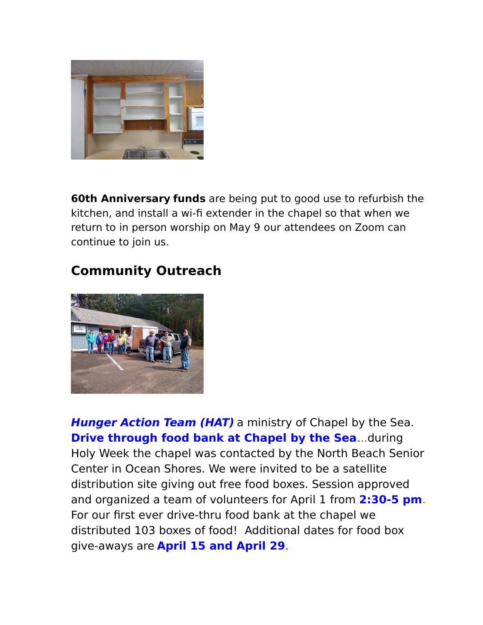

**60th Anniversary funds** are being put to good use to refurbish the kitchen, and install a wi-fi extender in the chapel so that when we return to in person worship on May 9 our attendees on Zoom can continue to join us.

# **Community Outreach**



**Hunger Action Team (HAT)** a ministry of Chapel by the Sea. **Drive through food bank at Chapel by the Sea**...during Holy Week the chapel was contacted by the North Beach Senior Center in Ocean Shores. We were invited to be a satellite distribution site giving out free food boxes. Session approved and organized a team of volunteers for April 1 from **2:30-5 pm**. For our first ever drive-thru food bank at the chapel we distributed 103 boxes of food! Additional dates for food box give-aways are **April 15 and April 29**.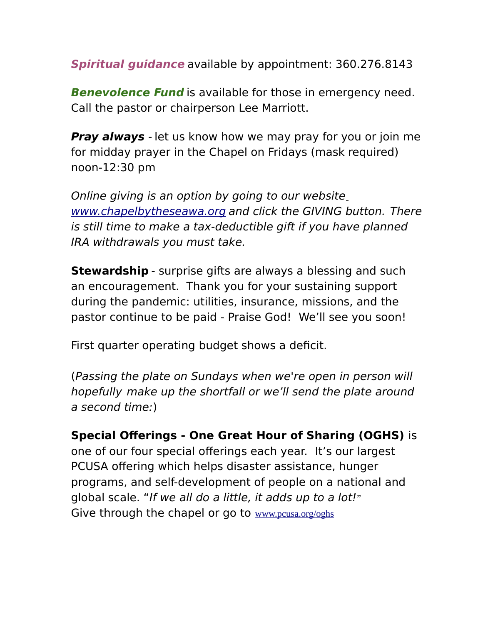**Spiritual guidance** available by appointment: 360.276.8143

**Benevolence Fund** is available for those in emergency need. Call the pastor or chairperson Lee Marriott.

**Pray always** - let us know how we may pray for you or join me for midday prayer in the Chapel on Fridays (mask required) noon-12:30 pm

Online giving is an option by going to our website [www.chapelbytheseawa.org](http://www.chapelbytheseawa.org/) and click the GIVING button. There is still time to make a tax-deductible gift if you have planned IRA withdrawals you must take.

**Stewardship** - surprise gifts are always a blessing and such an encouragement. Thank you for your sustaining support during the pandemic: utilities, insurance, missions, and the pastor continue to be paid - Praise God! We'll see you soon!

First quarter operating budget shows a deficit.

(Passing the plate on Sundays when we're open in person will hopefully make up the shortfall or we'll send the plate around a second time:)

**Special Offerings - One Great Hour of Sharing (OGHS)** is one of our four special offerings each year. It's our largest PCUSA offering which helps disaster assistance, hunger programs, and self-development of people on a national and global scale. "If we all do a little, it adds up to a lot!" Give through the chapel or go to [www.pcusa.org/oghs](http://www.pcusa.org/oghs)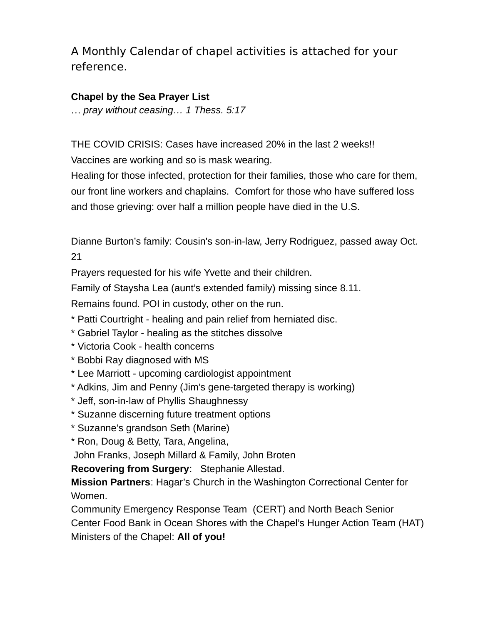## A Monthly Calendar of chapel activities is attached for your reference.

### **Chapel by the Sea Prayer List**

… *pray without ceasing… 1 Thess. 5:17*

THE COVID CRISIS: Cases have increased 20% in the last 2 weeks!! Vaccines are working and so is mask wearing.

Healing for those infected, protection for their families, those who care for them, our front line workers and chaplains. Comfort for those who have suffered loss and those grieving: over half a million people have died in the U.S.

Dianne Burton's family: Cousin's son-in-law, Jerry Rodriguez, passed away Oct. 21

Prayers requested for his wife Yvette and their children.

Family of Staysha Lea (aunt's extended family) missing since 8.11.

Remains found. POI in custody, other on the run.

- \* Patti Courtright healing and pain relief from herniated disc.
- \* Gabriel Taylor healing as the stitches dissolve
- \* Victoria Cook health concerns
- \* Bobbi Ray diagnosed with MS
- \* Lee Marriott upcoming cardiologist appointment
- \* Adkins, Jim and Penny (Jim's gene-targeted therapy is working)
- \* Jeff, son-in-law of Phyllis Shaughnessy
- \* Suzanne discerning future treatment options
- \* Suzanne's grandson Seth (Marine)
- \* Ron, Doug & Betty, Tara, Angelina,

John Franks, Joseph Millard & Family, John Broten

**Recovering from Surgery**: Stephanie Allestad.

**Mission Partners**: Hagar's Church in the Washington Correctional Center for Women.

Community Emergency Response Team (CERT) and North Beach Senior Center Food Bank in Ocean Shores with the Chapel's Hunger Action Team (HAT) Ministers of the Chapel: **All of you!**